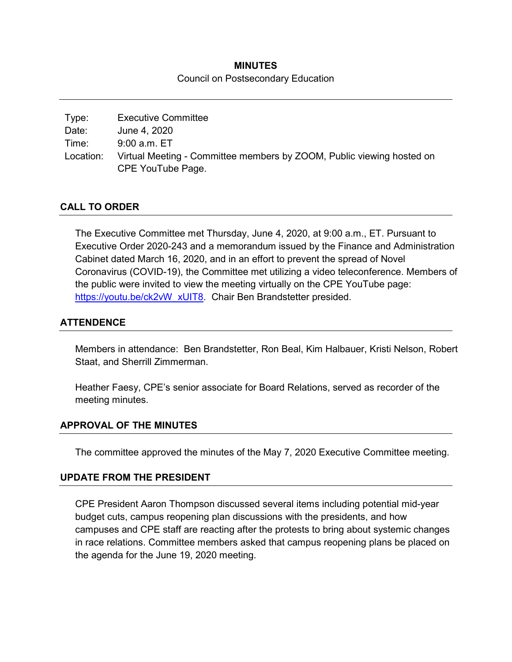# **MINUTES** Council on Postsecondary Education

| Type:     | <b>Executive Committee</b>                                            |
|-----------|-----------------------------------------------------------------------|
| Date:     | June 4, 2020                                                          |
| Time:     | 9:00 a.m. ET                                                          |
| Location: | Virtual Meeting - Committee members by ZOOM, Public viewing hosted on |
|           | CPE YouTube Page.                                                     |

# **CALL TO ORDER**

The Executive Committee met Thursday, June 4, 2020, at 9:00 a.m., ET. Pursuant to Executive Order 2020-243 and a memorandum issued by the Finance and Administration Cabinet dated March 16, 2020, and in an effort to prevent the spread of Novel Coronavirus (COVID-19), the Committee met utilizing a video teleconference. Members of the public were invited to view the meeting virtually on the CPE YouTube page: [https://youtu.be/ck2vW\\_xUIT8.](https://youtu.be/ck2vW_xUIT8) Chair Ben Brandstetter presided.

## **ATTENDENCE**

Members in attendance: Ben Brandstetter, Ron Beal, Kim Halbauer, Kristi Nelson, Robert Staat, and Sherrill Zimmerman.

Heather Faesy, CPE's senior associate for Board Relations, served as recorder of the meeting minutes.

### **APPROVAL OF THE MINUTES**

The committee approved the minutes of the May 7, 2020 Executive Committee meeting.

### **UPDATE FROM THE PRESIDENT**

CPE President Aaron Thompson discussed several items including potential mid-year budget cuts, campus reopening plan discussions with the presidents, and how campuses and CPE staff are reacting after the protests to bring about systemic changes in race relations. Committee members asked that campus reopening plans be placed on the agenda for the June 19, 2020 meeting.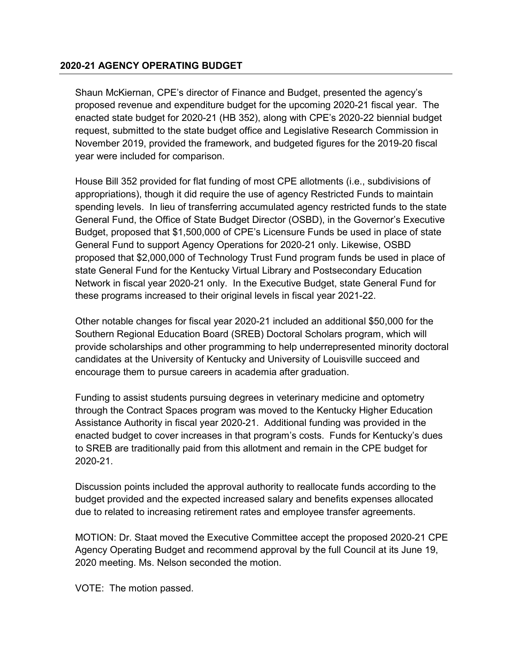### **2020-21 AGENCY OPERATING BUDGET**

Shaun McKiernan, CPE's director of Finance and Budget, presented the agency's proposed revenue and expenditure budget for the upcoming 2020-21 fiscal year. The enacted state budget for 2020-21 (HB 352), along with CPE's 2020-22 biennial budget request, submitted to the state budget office and Legislative Research Commission in November 2019, provided the framework, and budgeted figures for the 2019-20 fiscal year were included for comparison.

House Bill 352 provided for flat funding of most CPE allotments (i.e., subdivisions of appropriations), though it did require the use of agency Restricted Funds to maintain spending levels. In lieu of transferring accumulated agency restricted funds to the state General Fund, the Office of State Budget Director (OSBD), in the Governor's Executive Budget, proposed that \$1,500,000 of CPE's Licensure Funds be used in place of state General Fund to support Agency Operations for 2020-21 only. Likewise, OSBD proposed that \$2,000,000 of Technology Trust Fund program funds be used in place of state General Fund for the Kentucky Virtual Library and Postsecondary Education Network in fiscal year 2020-21 only. In the Executive Budget, state General Fund for these programs increased to their original levels in fiscal year 2021-22.

Other notable changes for fiscal year 2020-21 included an additional \$50,000 for the Southern Regional Education Board (SREB) Doctoral Scholars program, which will provide scholarships and other programming to help underrepresented minority doctoral candidates at the University of Kentucky and University of Louisville succeed and encourage them to pursue careers in academia after graduation.

Funding to assist students pursuing degrees in veterinary medicine and optometry through the Contract Spaces program was moved to the Kentucky Higher Education Assistance Authority in fiscal year 2020-21. Additional funding was provided in the enacted budget to cover increases in that program's costs. Funds for Kentucky's dues to SREB are traditionally paid from this allotment and remain in the CPE budget for 2020-21.

Discussion points included the approval authority to reallocate funds according to the budget provided and the expected increased salary and benefits expenses allocated due to related to increasing retirement rates and employee transfer agreements.

MOTION: Dr. Staat moved the Executive Committee accept the proposed 2020-21 CPE Agency Operating Budget and recommend approval by the full Council at its June 19, 2020 meeting. Ms. Nelson seconded the motion.

VOTE: The motion passed.